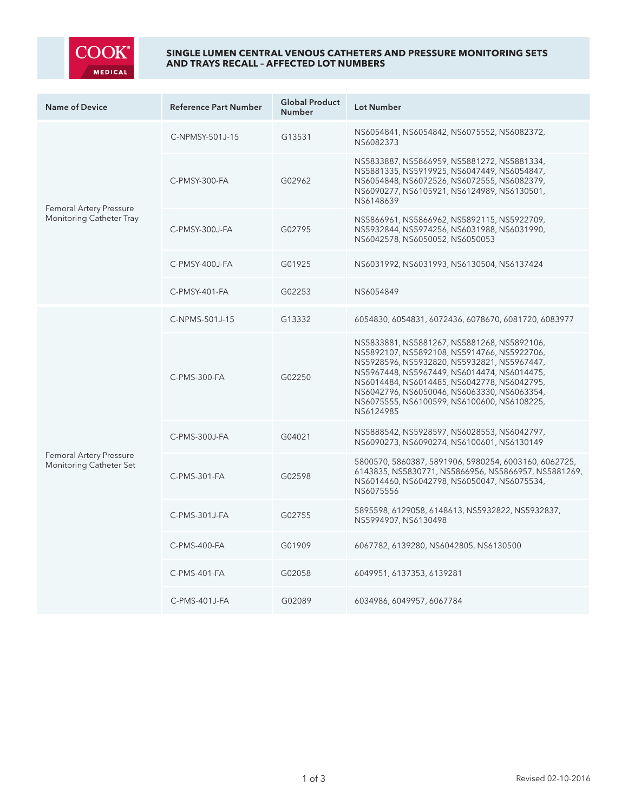

## **SINGLE LUMEN CENTRAL VENOUS CATHETERS AND PRESSURE MONITORING SETS AND TRAYS RECALL – AFFECTED LOT NUMBERS**

| <b>Name of Device</b>                                     | <b>Reference Part Number</b> | <b>Global Product</b><br><b>Number</b> | Lot Number                                                                                                                                                                                                                                                                                                                                         |
|-----------------------------------------------------------|------------------------------|----------------------------------------|----------------------------------------------------------------------------------------------------------------------------------------------------------------------------------------------------------------------------------------------------------------------------------------------------------------------------------------------------|
| Femoral Artery Pressure<br>Monitoring Catheter Tray       | C-NPMSY-501J-15              | G13531                                 | NS6054841, NS6054842, NS6075552, NS6082372,<br>NS6082373                                                                                                                                                                                                                                                                                           |
|                                                           | $C-PMSY-300-FA$              | G02962                                 | NS5833887, NS5866959, NS5881272, NS5881334,<br>NS5881335, NS5919925, NS6047449, NS6054847,<br>NS6054848, NS6072526, NS6072555, NS6082379,<br>NS6090277, NS6105921, NS6124989, NS6130501,<br>NS6148639                                                                                                                                              |
|                                                           | C-PMSY-300J-FA               | G02795                                 | NS5866961, NS5866962, NS5892115, NS5922709,<br>NS5932844, NS5974256, NS6031988, NS6031990,<br>NS6042578, NS6050052, NS6050053                                                                                                                                                                                                                      |
|                                                           | C-PMSY-400J-FA               | G01925                                 | NS6031992, NS6031993, NS6130504, NS6137424                                                                                                                                                                                                                                                                                                         |
|                                                           | $C-PMSY-401-FA$              | G02253                                 | NS6054849                                                                                                                                                                                                                                                                                                                                          |
| <b>Femoral Artery Pressure</b><br>Monitoring Catheter Set | C-NPMS-501J-15               | G13332                                 | 6054830, 6054831, 6072436, 6078670, 6081720, 6083977                                                                                                                                                                                                                                                                                               |
|                                                           | C-PMS-300-FA                 | G02250                                 | NS5833881, NS5881267, NS5881268, NS5892106,<br>NS5892107, NS5892108, NS5914766, NS5922706,<br>NS5928596, NS5932820, NS5932821, NS5967447,<br>NS5967448, NS5967449, NS6014474, NS6014475,<br>NS6014484, NS6014485, NS6042778, NS6042795,<br>NS6042796, NS6050046, NS6063330, NS6063354,<br>NS6075555, NS6100599, NS6100600, NS6108225,<br>NS6124985 |
|                                                           | $C-PMS-300J-FA$              | G04021                                 | NS5888542, NS5928597, NS6028553, NS6042797,<br>NS6090273, NS6090274, NS6100601, NS6130149                                                                                                                                                                                                                                                          |
|                                                           | C-PMS-301-FA                 | G02598                                 | 5800570, 5860387, 5891906, 5980254, 6003160, 6062725,<br>6143835, NS5830771, NS5866956, NS5866957, NS5881269,<br>NS6014460, NS6042798, NS6050047, NS6075534,<br>NS6075556                                                                                                                                                                          |
|                                                           | C-PMS-301J-FA                | G02755                                 | 5895598, 6129058, 6148613, NS5932822, NS5932837,<br>NS5994907, NS6130498                                                                                                                                                                                                                                                                           |
|                                                           | C-PMS-400-FA                 | G01909                                 | 6067782, 6139280, NS6042805, NS6130500                                                                                                                                                                                                                                                                                                             |
|                                                           | C-PMS-401-FA                 | G02058                                 | 6049951, 6137353, 6139281                                                                                                                                                                                                                                                                                                                          |
|                                                           | C-PMS-401J-FA                | G02089                                 | 6034986, 6049957, 6067784                                                                                                                                                                                                                                                                                                                          |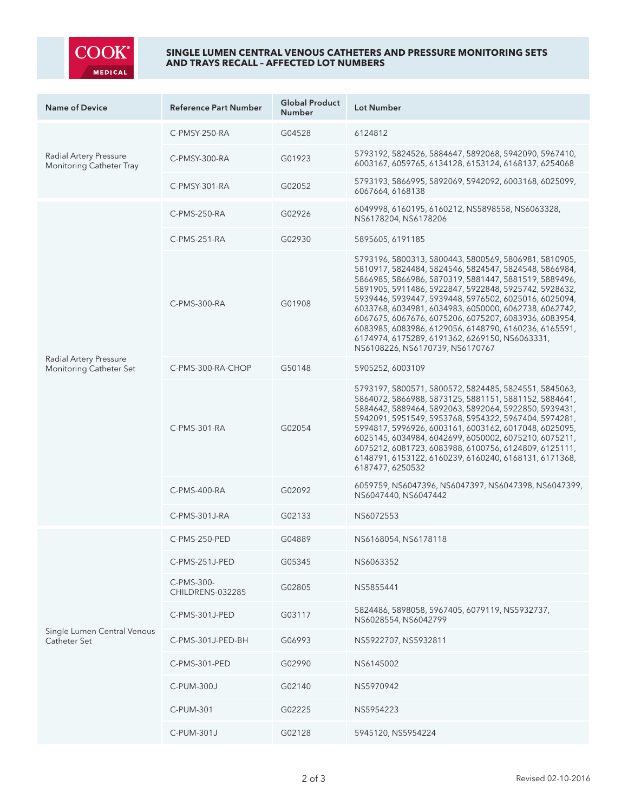

## **SINGLE LUMEN CENTRAL VENOUS CATHETERS AND PRESSURE MONITORING SETS AND TRAYS RECALL – AFFECTED LOT NUMBERS**

| <b>Name of Device</b>                              | <b>Reference Part Number</b>   | <b>Global Product</b><br><b>Number</b> | <b>Lot Number</b>                                                                                                                                                                                                                                                                                                                                                                                                                                                                                                                                         |
|----------------------------------------------------|--------------------------------|----------------------------------------|-----------------------------------------------------------------------------------------------------------------------------------------------------------------------------------------------------------------------------------------------------------------------------------------------------------------------------------------------------------------------------------------------------------------------------------------------------------------------------------------------------------------------------------------------------------|
| Radial Artery Pressure<br>Monitoring Catheter Tray | C-PMSY-250-RA                  | G04528                                 | 6124812                                                                                                                                                                                                                                                                                                                                                                                                                                                                                                                                                   |
|                                                    | C-PMSY-300-RA                  | G01923                                 | 5793192, 5824526, 5884647, 5892068, 5942090, 5967410,<br>6003167, 6059765, 6134128, 6153124, 6168137, 6254068                                                                                                                                                                                                                                                                                                                                                                                                                                             |
|                                                    | C-PMSY-301-RA                  | G02052                                 | 5793193, 5866995, 5892069, 5942092, 6003168, 6025099,<br>6067664, 6168138                                                                                                                                                                                                                                                                                                                                                                                                                                                                                 |
| Radial Artery Pressure<br>Monitoring Catheter Set  | C-PMS-250-RA                   | G02926                                 | 6049998, 6160195, 6160212, NS5898558, NS6063328,<br>NS6178204, NS6178206                                                                                                                                                                                                                                                                                                                                                                                                                                                                                  |
|                                                    | C-PMS-251-RA                   | G02930                                 | 5895605, 6191185                                                                                                                                                                                                                                                                                                                                                                                                                                                                                                                                          |
|                                                    | C-PMS-300-RA                   | G01908                                 | 5793196, 5800313, 5800443, 5800569, 5806981, 5810905,<br>5810917, 5824484, 5824546, 5824547, 5824548, 5866984,<br>5866985, 5866986, 5870319, 5881447, 5881519, 5889496,<br>5891905, 5911486, 5922847, 5922848, 5925742, 5928632,<br>5939446, 5939447, 5939448, 5976502, 6025016, 6025094,<br>6033768, 6034981, 6034983, 6050000, 6062738, 6062742,<br>6067675, 6067676, 6075206, 6075207, 6083936, 6083954,<br>6083985, 6083986, 6129056, 6148790, 6160236, 6165591,<br>6174974, 6175289, 6191362, 6269150, NS6063331,<br>NS6108226, NS6170739, NS6170767 |
|                                                    | C-PMS-300-RA-CHOP              | G50148                                 | 5905252, 6003109                                                                                                                                                                                                                                                                                                                                                                                                                                                                                                                                          |
|                                                    | C-PMS-301-RA                   | G02054                                 | 5793197, 5800571, 5800572, 5824485, 5824551, 5845063,<br>5864072, 5866988, 5873125, 5881151, 5881152, 5884641,<br>5884642, 5889464, 5892063, 5892064, 5922850, 5939431,<br>5942091, 5951549, 5953768, 5954322, 5967404, 5974281,<br>5994817, 5996926, 6003161, 6003162, 6017048, 6025095,<br>6025145, 6034984, 6042699, 6050002, 6075210, 6075211,<br>6075212, 6081723, 6083988, 6100756, 6124809, 6125111,<br>6148791, 6153122, 6160239, 6160240, 6168131, 6171368,<br>6187477, 6250532                                                                  |
|                                                    | C-PMS-400-RA                   | G02092                                 | 6059759, NS6047396, NS6047397, NS6047398, NS6047399,<br>NS6047440, NS6047442                                                                                                                                                                                                                                                                                                                                                                                                                                                                              |
|                                                    | C-PMS-301J-RA                  | G02133                                 | NS6072553                                                                                                                                                                                                                                                                                                                                                                                                                                                                                                                                                 |
| Single Lumen Central Venous<br>Catheter Set        | C-PMS-250-PED                  | G04889                                 | NS6168054, NS6178118                                                                                                                                                                                                                                                                                                                                                                                                                                                                                                                                      |
|                                                    | C-PMS-251J-PED                 | G05345                                 | NS6063352                                                                                                                                                                                                                                                                                                                                                                                                                                                                                                                                                 |
|                                                    | C-PMS-300-<br>CHILDRENS-032285 | G02805                                 | NS5855441                                                                                                                                                                                                                                                                                                                                                                                                                                                                                                                                                 |
|                                                    | C-PMS-301J-PED                 | G03117                                 | 5824486, 5898058, 5967405, 6079119, NS5932737,<br>NS6028554, NS6042799                                                                                                                                                                                                                                                                                                                                                                                                                                                                                    |
|                                                    | C-PMS-301J-PED-BH              | G06993                                 | NS5922707, NS5932811                                                                                                                                                                                                                                                                                                                                                                                                                                                                                                                                      |
|                                                    | C-PMS-301-PED                  | G02990                                 | NS6145002                                                                                                                                                                                                                                                                                                                                                                                                                                                                                                                                                 |
|                                                    | C-PUM-300J                     | G02140                                 | NS5970942                                                                                                                                                                                                                                                                                                                                                                                                                                                                                                                                                 |
|                                                    | C-PUM-301                      | G02225                                 | NS5954223                                                                                                                                                                                                                                                                                                                                                                                                                                                                                                                                                 |
|                                                    | C-PUM-301J                     | G02128                                 | 5945120, NS5954224                                                                                                                                                                                                                                                                                                                                                                                                                                                                                                                                        |